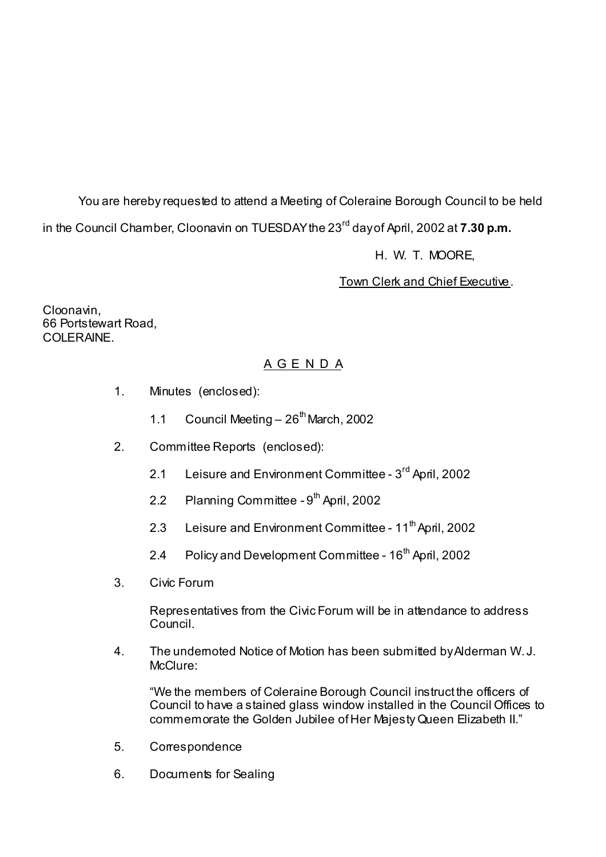You are hereby requested to attend a Meeting of Coleraine Borough Council to be held in the Council Chamber, Cloonavin on TUESDAY the 23<sup>rd</sup> day of April, 2002 at **7.30 p.m.** 

# H. W. T. MOORE,

# Town Clerk and Chief Executive.

Cloonavin, 66 Portstewart Road, COLERAINE

# A G E N D A

- 1. Minutes (enclosed):
	- 1.1 Council Meeting  $-26^{th}$  March, 2002
- 2. Committee Reports (enclosed):
	- 2.1 Leisure and Environment Committee 3<sup>rd</sup> April, 2002
	- 2.2 Planning Committee  $9<sup>th</sup>$  April, 2002
	- 2.3 Leisure and Environment Committee 11<sup>th</sup> April, 2002
	- 2.4 Policy and Development Committee 16<sup>th</sup> April, 2002
- 3. Civic Forum

Representatives from the Civic Forum will be in attendance to address Council.

4. The undemoted Notice of Motion has been submitted by Alderman W. J. McClure:

 "We the members of Coleraine Borough Council instruct the officers of Council to have a stained glass window installed in the Council Offices to commemorate the Golden Jubilee of Her Majesty Queen Elizabeth II."

- 5. Correspondence
- 6. Documents for Sealing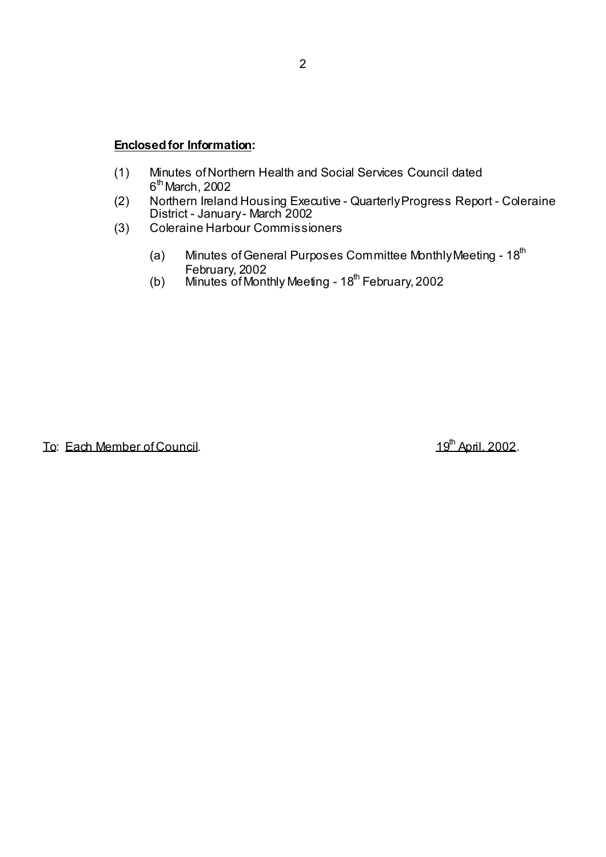## **Enclosed for Information:**

- (1) Minutes of Northern Health and Social Services Council dated  $6<sup>th</sup>$  March, 2002
- (2) Northern Ireland Housing Executive Quarterly Progress Report Coleraine District - January - March 2002
	- (3) Coleraine Harbour Commissioners
		- (a) Minutes of General Purposes Committee Monthly Meeting  $18<sup>th</sup>$ February, 2002
- (b) Minutes of Monthly Meeting 18<sup>th</sup> February, 2002

To: Each Member of Council. **19th** April, 2002.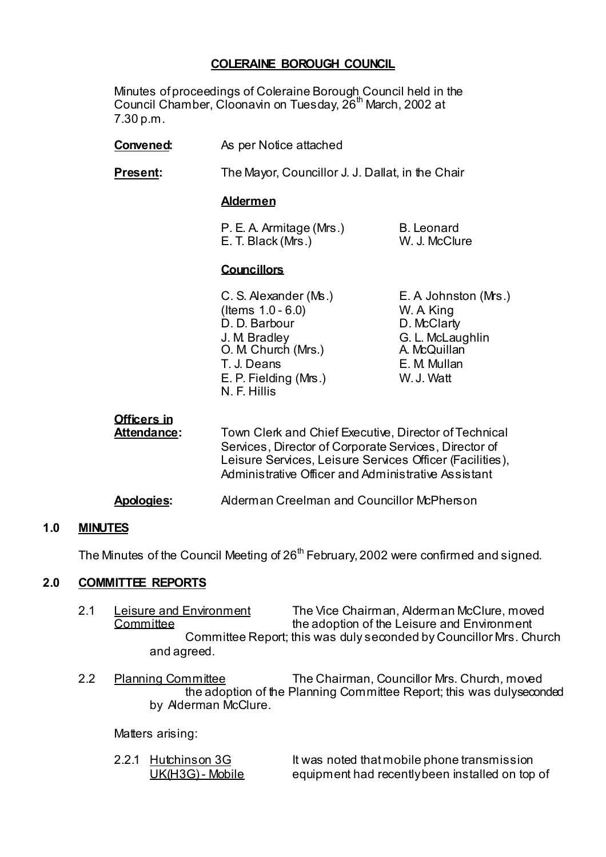# **COLERAINE BOROUGH COUNCIL**

 Minutes of proceedings of Coleraine Borough Council held in the Council Chamber, Cloonavin on Tuesday, 26<sup>th</sup> March, 2002 at 7.30 p.m.

- **Convened:** As per Notice attached
- **Present:** The Mayor, Councillor J. J. Dallat, in the Chair

#### **Aldermen**

| P. E. A. Armitage (Mrs.) | <b>B.</b> Leonard |
|--------------------------|-------------------|
| E. T. Black (Mrs.)       | W. J. McClure     |

#### **Councillors**

 (Items 1.0 - 6.0) W. A. King D. D. Barbour D. McClarty J. M. Bradley G. L. McLaughlin<br>
O. M. Church (Mrs.) A. McQuillan O. M. Church (Mrs.) T. J. Deans E. M. Mullan E. P. Fielding (Mrs.) W. J. Watt N. F. Hillis

C. S. Alexander (Ms.) E. A. Johnston (Mrs.)

**Officers in**

Attendance: Town Clerk and Chief Executive, Director of Technical Services, Director of Corporate Services, Director of Leisure Services, Leisure Services Officer (Facilities), Administrative Officer and Administrative Assistant

#### **Apologies:** Alderman Creelman and Councillor McPherson

#### **1.0 MINUTES**

The Minutes of the Council Meeting of  $26<sup>th</sup>$  February, 2002 were confirmed and signed.

#### **2.0 COMMITTEE REPORTS**

- 2.1 Leisure and Environment The Vice Chairman, Alderman McClure, moved Committee **the adoption of the Leisure and Environment**  Committee Report; this was duly seconded by Councillor Mrs. Church and agreed.
- 2.2 Planning Committee The Chairman, Councillor Mrs. Church, moved the adoption of the Planning Committee Report; this was duly seconded by Alderman McClure.

Matters arising:

2.2.1 Hutchinson 3G It was noted that mobile phone transmission UK(H3G) - Mobile equipment had recently been installed on top of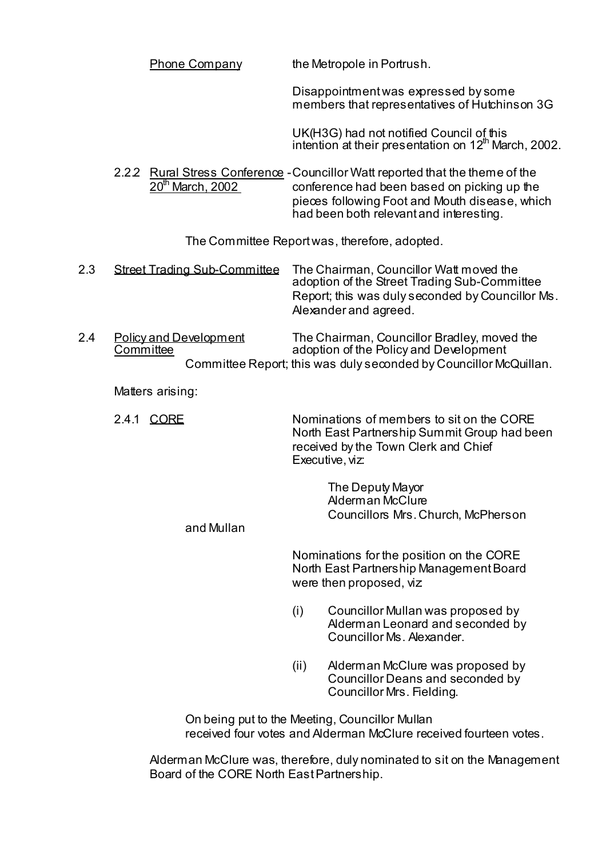|     | <b>Phone Company</b>                       | the Metropole in Portrush.                                                                                                                                                                                                |
|-----|--------------------------------------------|---------------------------------------------------------------------------------------------------------------------------------------------------------------------------------------------------------------------------|
|     |                                            | Disappointment was expressed by some<br>members that representatives of Hutchinson 3G                                                                                                                                     |
|     |                                            | UK(H3G) had not notified Council of this<br>intention at their presentation on 12 <sup>th</sup> March, 2002.                                                                                                              |
|     | 20 <sup>th</sup> March, 2002               | 2.22 Rural Stress Conference - Councillor Watt reported that the theme of the<br>conference had been based on picking up the<br>pieces following Foot and Mouth disease, which<br>had been both relevant and interesting. |
|     |                                            | The Committee Report was, therefore, adopted.                                                                                                                                                                             |
| 2.3 | <b>Street Trading Sub-Committee</b>        | The Chairman, Councillor Watt moved the<br>adoption of the Street Trading Sub-Committee<br>Report; this was duly seconded by Councillor Ms.<br>Alexander and agreed.                                                      |
| 2.4 | <b>Policy and Development</b><br>Committee | The Chairman, Councillor Bradley, moved the<br>adoption of the Policy and Development<br>Committee Report; this was duly seconded by Councillor McQuillan.                                                                |
|     | Matters arising:                           |                                                                                                                                                                                                                           |
|     | 2.4.1 CORE                                 | Nominations of members to sit on the CORE<br>North East Partnership Summit Group had been<br>received by the Town Clerk and Chief<br>Executive, viz:                                                                      |
|     | and Mullan                                 | The Deputy Mayor<br>Alderman McClure<br>Councillors Mrs. Church, McPherson                                                                                                                                                |
|     |                                            | Nominations for the position on the CORE<br>North East Partnership Management Board<br>were then proposed, viz                                                                                                            |
|     |                                            | Councillor Mullan was proposed by<br>(i)<br>Alderman Leonard and seconded by<br>Councillor Ms. Alexander.                                                                                                                 |
|     |                                            | Alderman McClure was proposed by<br>(ii)<br>Councillor Deans and seconded by<br>Councillor Mrs. Fielding.                                                                                                                 |
|     |                                            | On being put to the Meeting, Councillor Mullan<br>received four votes and Alderman McClure received fourteen votes.                                                                                                       |

Alderman McClure was, therefore, duly nominated to sit on the Management Board of the CORE North East Partnership.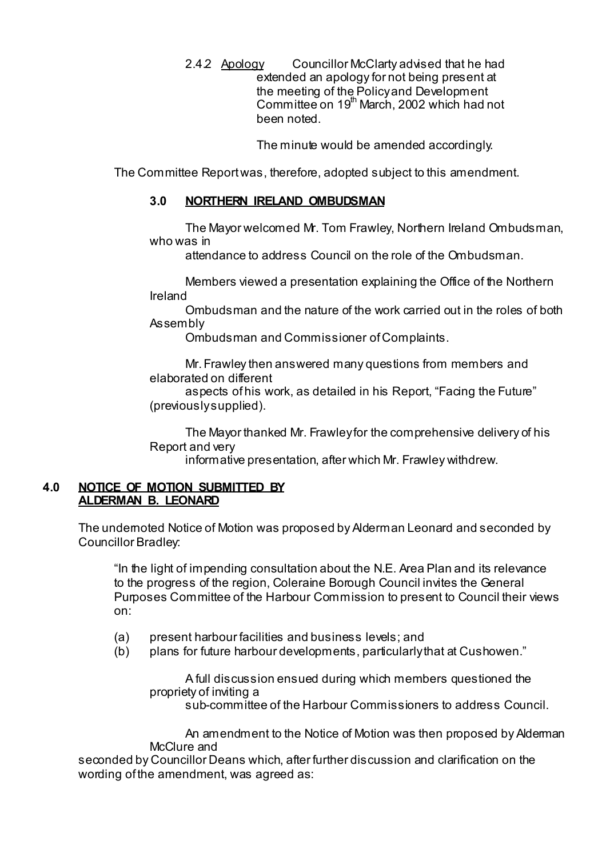2.4.2 Apology Councillor McClarty advised that he had extended an apology for not being present at the meeting of the Policy and Development Committee on 19<sup>th</sup> March, 2002 which had not been noted.

The minute would be amended accordingly.

The Committee Report was, therefore, adopted subject to this amendment.

# **3.0 NORTHERN IRELAND OMBUDSMAN**

 The Mayor welcomed Mr. Tom Frawley, Northern Ireland Ombudsman, who was in

attendance to address Council on the role of the Ombudsman.

 Members viewed a presentation explaining the Office of the Northern Ireland

 Ombudsman and the nature of the work carried out in the roles of both Assembly

Ombudsman and Commissioner of Complaints.

 Mr. Frawley then answered many questions from members and elaborated on different

 aspects of his work, as detailed in his Report, "Facing the Future" (previously supplied).

 The Mayor thanked Mr. Frawley for the comprehensive delivery of his Report and very

informative presentation, after which Mr. Frawley withdrew.

## **4.0 NOTICE OF MOTION SUBMITTED BY ALDERMAN B. LEONARD**

The undemoted Notice of Motion was proposed by Alderman Leonard and seconded by Councillor Bradley:

 "In the light of impending consultation about the N.E. Area Plan and its relevance to the progress of the region, Coleraine Borough Council invites the General Purposes Committee of the Harbour Commission to present to Council their views on:

- (a) present harbour facilities and business levels; and
- (b) plans for future harbour developments, particularly that at Cushowen."

 A full discussion ensued during which members questioned the propriety of inviting a

sub-committee of the Harbour Commissioners to address Council.

 An amendment to the Notice of Motion was then proposed by Alderman McClure and

 seconded by Councillor Deans which, after further discussion and clarification on the wording of the amendment, was agreed as: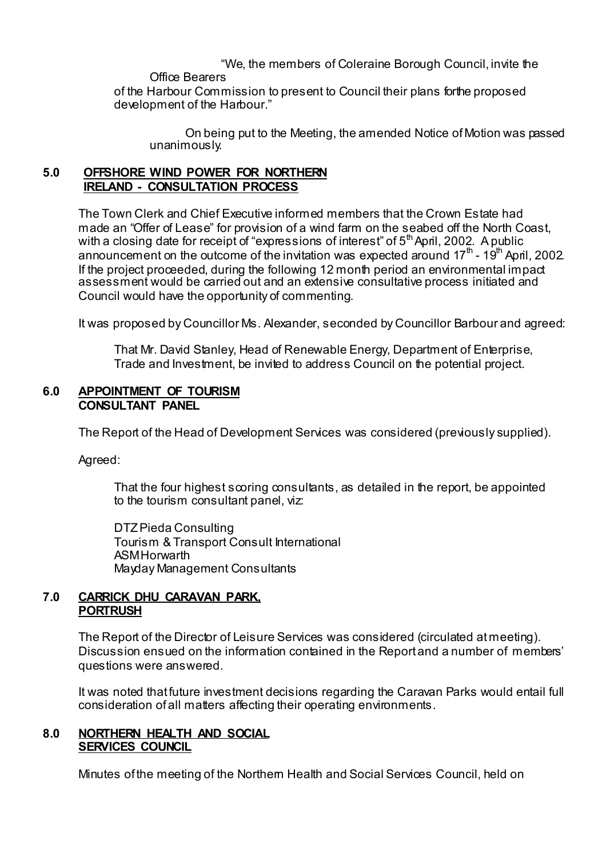"We, the members of Coleraine Borough Council, invite the

Office Bearers

of the Harbour Commission to present to Council their plans forthe proposed development of the Harbour."

 On being put to the Meeting, the amended Notice of Motion was passed unanimously.

# **5.0 OFFSHORE WIND POWER FOR NORTHERN IRELAND - CONSULTATION PROCESS**

The Town Clerk and Chief Executive informed members that the Crown Estate had made an "Offer of Lease" for provision of a wind farm on the seabed off the North Coast, with a closing date for receipt of "expressions of interest" of  $5<sup>th</sup>$  April, 2002. A public announcement on the outcome of the invitation was expected around  $17<sup>th</sup>$  -  $19<sup>th</sup>$  April, 2002. If the project proceeded, during the following 12 month period an environmental impact assessment would be carried out and an extensive consultative process initiated and Council would have the opportunity of commenting.

It was proposed by Councillor Ms. Alexander, seconded by Councillor Barbour and agreed:

 That Mr. David Stanley, Head of Renewable Energy, Department of Enterprise, Trade and Investment, be invited to address Council on the potential project.

## **6.0 APPOINTMENT OF TOURISM CONSULTANT PANEL**

The Report of the Head of Development Services was considered (previously supplied).

Agreed:

That the four highest scoring consultants, as detailed in the report, be appointed to the tourism consultant panel, viz:

 DTZ Pieda Consulting Tourism & Transport Consult International **ASM Horwarth** Mayday Management Consultants

# **7.0 CARRICK DHU CARAVAN PARK, PORTRUSH**

 The Report of the Director of Leisure Services was considered (circulated at meeting). Discussion ensued on the information contained in the Report and a number of members' questions were answered.

 It was noted that future investment decisions regarding the Caravan Parks would entail full consideration of all matters affecting their operating environments.

# **8.0 NORTHERN HEALTH AND SOCIAL SERVICES COUNCIL**

Minutes of the meeting of the Northern Health and Social Services Council, held on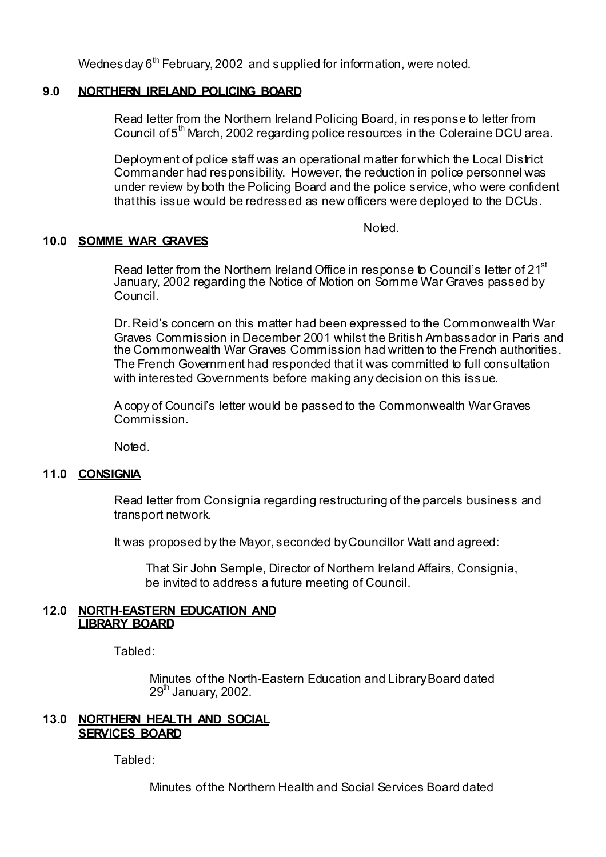Wednesday  $6<sup>th</sup>$  February, 2002 and supplied for information, were noted.

## **9.0 NORTHERN IRELAND POLICING BOARD**

Read letter from the Northern Ireland Policing Board, in response to letter from Council of 5<sup>th</sup> March, 2002 regarding police resources in the Coleraine DCU area.

Deployment of police staff was an operational matter for which the Local District Commander had responsibility. However, the reduction in police personnel was under review by both the Policing Board and the police service, who were confident that this issue would be redressed as new officers were deployed to the DCUs.

Noted.

# **10.0 SOMME WAR GRAVES**

Read letter from the Northern Ireland Office in response to Council's letter of 21<sup>st</sup> January, 2002 regarding the Notice of Motion on Somme War Graves passed by Council.

Dr. Reid's concern on this matter had been expressed to the Commonwealth War Graves Commission in December 2001 whilst the British Ambassador in Paris and the Commonwealth War Graves Commission had written to the French authorities. The French Government had responded that it was committed to full consultation with interested Governments before making any decision on this issue.

A copy of Council's letter would be passed to the Commonwealth War Graves Commission.

Noted.

#### **11.0 CONSIGNIA**

Read letter from Consignia regarding restructuring of the parcels business and transport network.

It was proposed by the Mayor, seconded by Councillor Watt and agreed:

 That Sir John Semple, Director of Northern Ireland Affairs, Consignia, be invited to address a future meeting of Council.

#### **12.0 NORTH-EASTERN EDUCATION AND LIBRARY BOARD**

Tabled:

 Minutes of the North-Eastern Education and Library Board dated  $29<sup>th</sup>$  January, 2002.

## **13.0 NORTHERN HEALTH AND SOCIAL SERVICES BOARD**

Tabled:

Minutes of the Northern Health and Social Services Board dated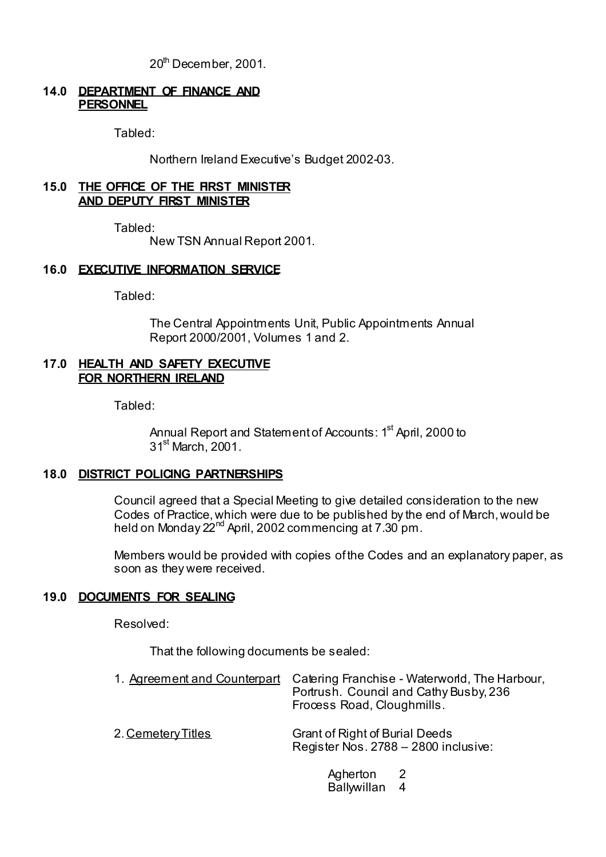20<sup>th</sup> December, 2001.

#### **14.0 DEPARTMENT OF FINANCE AND PERSONNEL**

Tabled:

Northern Ireland Executive's Budget 2002-03.

#### **15.0 THE OFFICE OF THE FIRST MINISTER AND DEPUTY FIRST MINISTER**

Tabled:

New TSN Annual Report 2001.

## **16.0 EXECUTIVE INFORMATION SERVICE**

Tabled:

 The Central Appointments Unit, Public Appointments Annual Report 2000/2001, Volumes 1 and 2.

#### **17.0 HEALTH AND SAFETY EXECUTIVE FOR NORTHERN IRELAND**

Tabled:

Annual Report and Statement of Accounts: 1<sup>st</sup> April, 2000 to 31st March, 2001.

# **18.0 DISTRICT POLICING PARTNERSHIPS**

Council agreed that a Special Meeting to give detailed consideration to the new Codes of Practice, which were due to be published by the end of March, would be held on Monday 22<sup>nd</sup> April, 2002 commencing at 7.30 pm.

Members would be provided with copies of the Codes and an explanatory paper, as soon as they were received.

# **19.0 DOCUMENTS FOR SEALING**

Resolved:

That the following documents be sealed:

|                    | 1. Agreement and Counterpart Catering Franchise - Waterworld, The Harbour,<br>Portrush. Council and Cathy Busby, 236<br>Frocess Road, Cloughmills. |
|--------------------|----------------------------------------------------------------------------------------------------------------------------------------------------|
| 2. Cemetery Titles | <b>Grant of Right of Burial Deeds</b><br>Register Nos. 2788 - 2800 inclusive:                                                                      |

Agherton 2 Ballywillan 4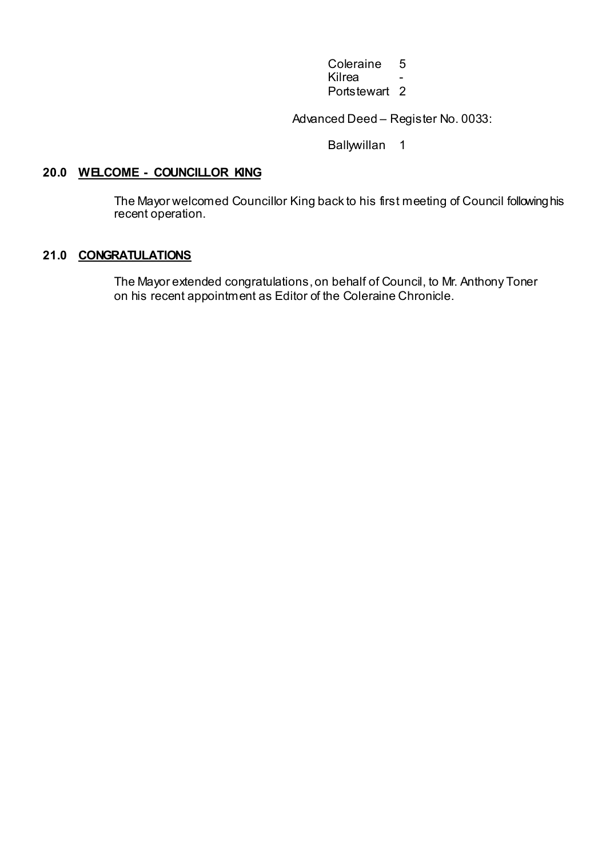Coleraine 5<br>Kilrea -<u>in die staat van die stad van die klimaanse van die stad van die stad van die stad van die stad van die stad v</u> Portstewart 2

Advanced Deed – Register No. 0033:

Ballywillan 1

# **20.0 WELCOME - COUNCILLOR KING**

The Mayor welcomed Councillor King back to his first meeting of Council following his recent operation.

# **21.0 CONGRATULATIONS**

 The Mayor extended congratulations, on behalf of Council, to Mr. Anthony Toner on his recent appointment as Editor of the Coleraine Chronicle.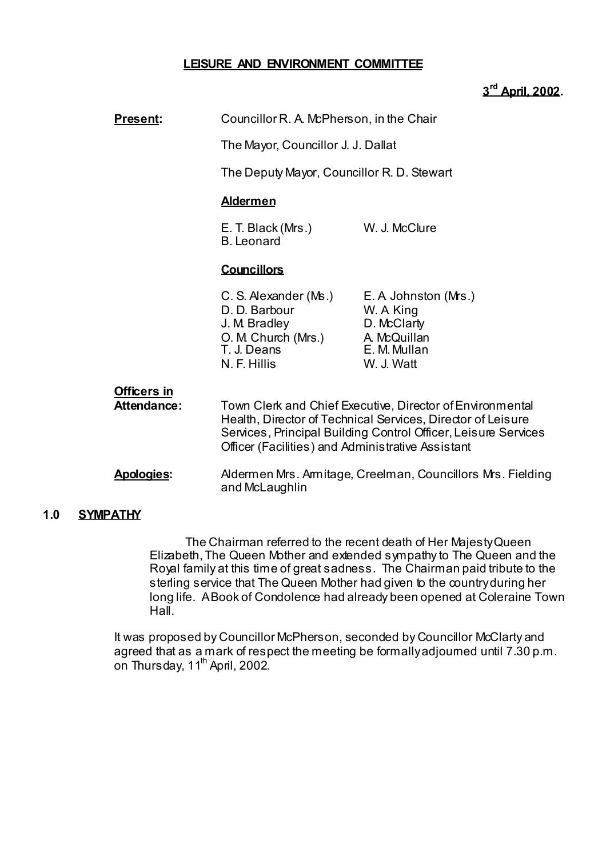## **LEISURE AND ENVIRONMENT COMMITTEE**

# **3rd April, 2002.**

| <b>Present:</b>                   | Councillor R. A. McPherson, in the Chair                                                                                                                                                                                                        |                                                                                                |
|-----------------------------------|-------------------------------------------------------------------------------------------------------------------------------------------------------------------------------------------------------------------------------------------------|------------------------------------------------------------------------------------------------|
|                                   | The Mayor, Councillor J. J. Dallat                                                                                                                                                                                                              |                                                                                                |
|                                   | The Deputy Mayor, Councillor R. D. Stewart                                                                                                                                                                                                      |                                                                                                |
|                                   | <b>Aldermen</b>                                                                                                                                                                                                                                 |                                                                                                |
|                                   | E. T. Black (Mrs.)<br><b>B.</b> Leonard                                                                                                                                                                                                         | W. J. McClure                                                                                  |
|                                   | <b>Councillors</b>                                                                                                                                                                                                                              |                                                                                                |
|                                   | C. S. Alexander (Ms.)<br>D. D. Barbour<br>J. M. Bradley<br>O. M Church (Mrs.)<br>T. J. Deans<br>N. F. Hillis                                                                                                                                    | E. A Johnston (Mrs.)<br>W. A King<br>D. McClarty<br>A. McQuillan<br>E. M. Mullan<br>W. J. Watt |
| <b>Officers in</b><br>Attendance: | Town Clerk and Chief Executive, Director of Environmental<br>Health, Director of Technical Services, Director of Leisure<br>Services, Principal Building Control Officer, Leisure Services<br>Officer (Facilities) and Administrative Assistant |                                                                                                |
| <b>Apologies:</b>                 | Aldermen Mrs. Amitage, Creelman, Councillors Mrs. Fielding<br>and McLaughlin                                                                                                                                                                    |                                                                                                |

## **1.0 SYMPATHY**

 The Chairman referred to the recent death of Her Majesty Queen Elizabeth, The Queen Mother and extended sympathy to The Queen and the Royal family at this time of great sadness. The Chairman paid tribute to the sterling service that The Queen Mother had given to the country during her long life. A Book of Condolence had already been opened at Coleraine Town Hall.

 It was proposed by Councillor McPherson, seconded by Councillor McClarty and agreed that as a mark of respect the meeting be formally adjourned until 7.30 p.m. on Thursday,  $11<sup>th</sup>$  April, 2002.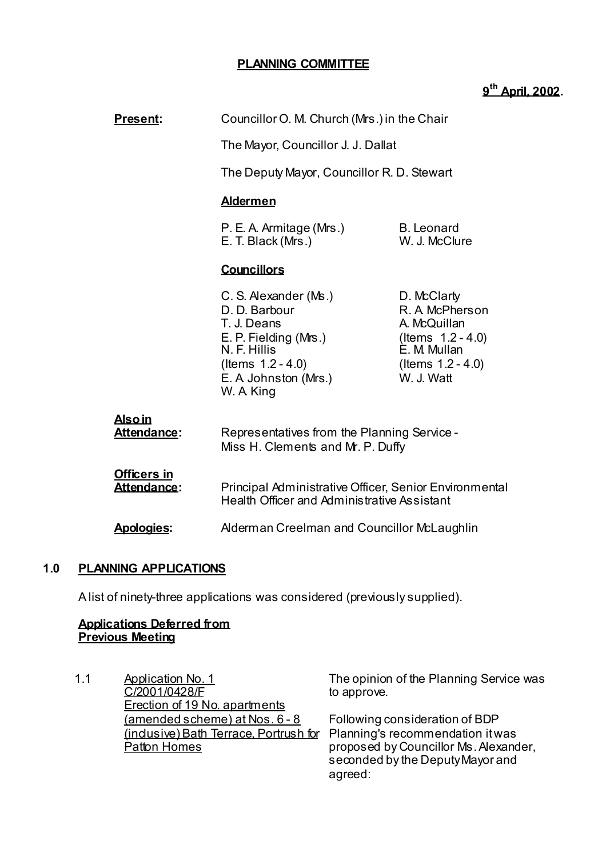# **PLANNING COMMITTEE**

# **9th April, 2002.**

| <b>Present:</b>                     | Councillor O. M. Church (Mrs.) in the Chair                                                                                                                                                                                                                                                                                                                                    |                                            |  |
|-------------------------------------|--------------------------------------------------------------------------------------------------------------------------------------------------------------------------------------------------------------------------------------------------------------------------------------------------------------------------------------------------------------------------------|--------------------------------------------|--|
|                                     | The Mayor, Councillor J. J. Dallat                                                                                                                                                                                                                                                                                                                                             |                                            |  |
|                                     |                                                                                                                                                                                                                                                                                                                                                                                | The Deputy Mayor, Councillor R. D. Stewart |  |
|                                     | <b>Aldermen</b>                                                                                                                                                                                                                                                                                                                                                                |                                            |  |
|                                     | <b>B.</b> Leonard<br>P. E. A. Armitage (Mrs.)<br>E. T. Black (Mrs.)<br>W. J. McClure                                                                                                                                                                                                                                                                                           |                                            |  |
|                                     | <b>Councillors</b>                                                                                                                                                                                                                                                                                                                                                             |                                            |  |
|                                     | C. S. Alexander (Ms.)<br>D. McClarty<br>D. D. Barbour<br>R. A McPherson<br>T. J. Deans<br>A. McQuillan<br>E. P. Fielding (Mrs.)<br>(Items $1.2 - 4.0$ )<br>N. F. Hillis<br>È. M. Mullan<br>(Items $1.2 - 4.0$ )<br>(Items $1.2 - 4.0$ )<br>W. J. Watt<br>E. A Johnston (Mrs.)<br>W. A King<br>Representatives from the Planning Service -<br>Miss H. Clements and Mr. P. Duffy |                                            |  |
| <b>Alsoin</b><br><b>Attendance:</b> |                                                                                                                                                                                                                                                                                                                                                                                |                                            |  |
| <b>Officers in</b><br>Attendance:   | Principal Administrative Officer, Senior Environmental<br>Health Officer and Administrative Assistant                                                                                                                                                                                                                                                                          |                                            |  |
| <b>Apologies:</b>                   | Alderman Creelman and Councillor McLaughlin                                                                                                                                                                                                                                                                                                                                    |                                            |  |
| <b>PLANNING APPLICATIONS</b><br>1.0 |                                                                                                                                                                                                                                                                                                                                                                                |                                            |  |

A list of ninety-three applications was considered (previously supplied).

## **Applications Deferred from Previous Meeting**

| 1.1 | <b>Application No. 1</b><br>C/2001/0428/F | The opinion of the Planning Service was<br>to approve. |
|-----|-------------------------------------------|--------------------------------------------------------|
|     | Erection of 19 No. apartments             |                                                        |
|     | (amended scheme) at Nos. 6 - 8            | Following consideration of BDP                         |
|     | (indusive) Bath Terrace. Portrush for     | Planning's recommendation it was                       |
|     | <b>Patton Homes</b>                       | proposed by Councillor Ms. Alexander,                  |
|     |                                           | seconded by the Deputy Mayor and                       |
|     |                                           | agreed:                                                |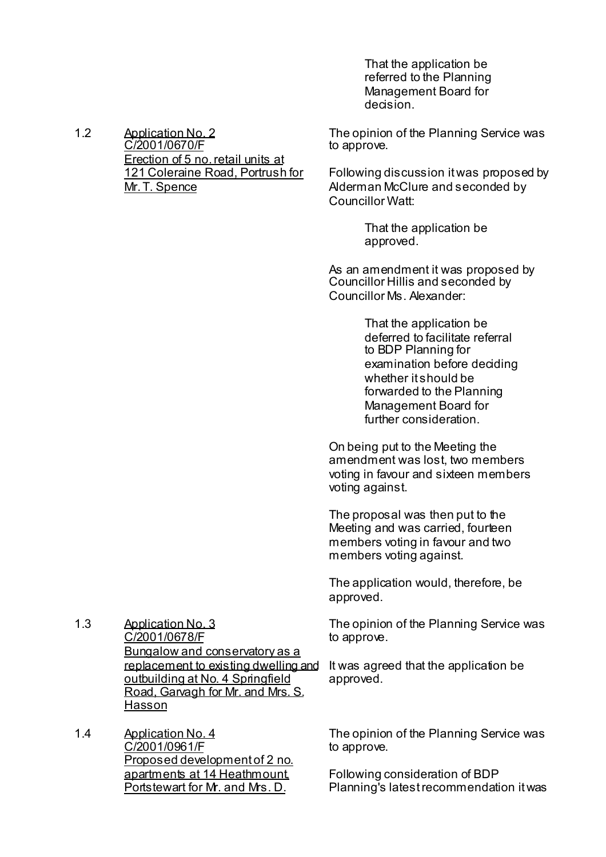That the application be referred to the Planning Management Board for decision.

1.2 Application No. 2 C/2001/0670/F Erection of 5 no. retail units at 121 Coleraine Road, Portrush for Mr. T. Spence

The opinion of the Planning Service was to approve.

Following discussion it was proposed by Alderman McClure and seconded by Councillor Watt:

> That the application be approved.

As an amendment it was proposed by Councillor Hillis and seconded by Councillor Ms. Alexander:

> That the application be deferred to facilitate referral to BDP Planning for examination before deciding whether it should be forwarded to the Planning Management Board for further consideration.

On being put to the Meeting the amendment was lost, two members voting in favour and sixteen members voting against.

The proposal was then put to the Meeting and was carried, fourteen members voting in favour and two members voting against.

The application would, therefore, be approved.

The opinion of the Planning Service was to approve.

It was agreed that the application be approved.

1.3 Application No. 3 C/2001/0678/F Bungalow and conservatory as a replacement to existing dwelling and outbuilding at No. 4 Springfield Road, Garvagh for Mr. and Mrs. S. **Hasson** 

1.4 Application No. 4 C/2001/0961/F Proposed development of 2 no. apartments at 14 Heathmount, Portstewart for Mr. and Mrs. D.

The opinion of the Planning Service was to approve.

Following consideration of BDP Planning's latest recommendation it was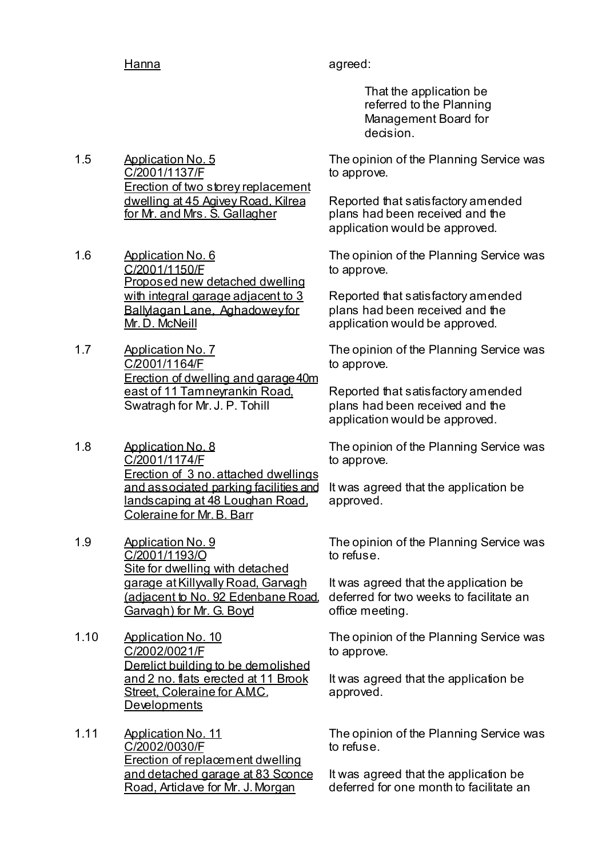Hanna agreed:

 That the application be referred to the Planning Management Board for decision.

1.5 Application No. 5 C/2001/1137/F **Erection of two storey replacement** dwelling at 45 Agivey Road, Kilrea for Mr. and Mrs. S. Gallagher

- 1.6 Application No. 6 C/2001/1150/F Proposed new detached dwelling with integral garage adjacent to 3 Ballylagan Lane, Aghadowey for Mr. D. McNeill
- 1.7 Application No. 7 C/2001/1164/F Erection of dwelling and garage 40m east of 11 Tamneyrankin Road, Swatragh for Mr. J. P. Tohill
- 1.8 Application No. 8 C/2001/1174/F Erection of 3 no. attached dwellings and associated parking facilities and landscaping at 48 Loughan Road, Coleraine for Mr. B. Barr
- 1.9 Application No. 9 C/2001/1193/O Site for dwelling with detached garage at Killyvally Road, Garvagh (adjacent to No. 92 Edenbane Road, Garvagh) for Mr. G. Boyd
- 1.10 Application No. 10 C/2002/0021/F Derelict building to be demolished and 2 no. flats erected at 11 Brook Street, Coleraine for A.M.C. **Developments**
- 1.11 Application No. 11 C/2002/0030/F Erection of replacement dwelling and detached garage at 83 Sconce Road, Articlave for Mr. J. Morgan

The opinion of the Planning Service was to approve.

Reported that satisfactory amended plans had been received and the application would be approved.

The opinion of the Planning Service was to approve.

Reported that satisfactory amended plans had been received and the application would be approved.

The opinion of the Planning Service was to approve.

Reported that satisfactory amended plans had been received and the application would be approved.

The opinion of the Planning Service was to approve.

It was agreed that the application be approved.

The opinion of the Planning Service was to refuse.

It was agreed that the application be deferred for two weeks to facilitate an office meeting.

The opinion of the Planning Service was to approve.

It was agreed that the application be approved.

The opinion of the Planning Service was to refuse.

It was agreed that the application be deferred for one month to facilitate an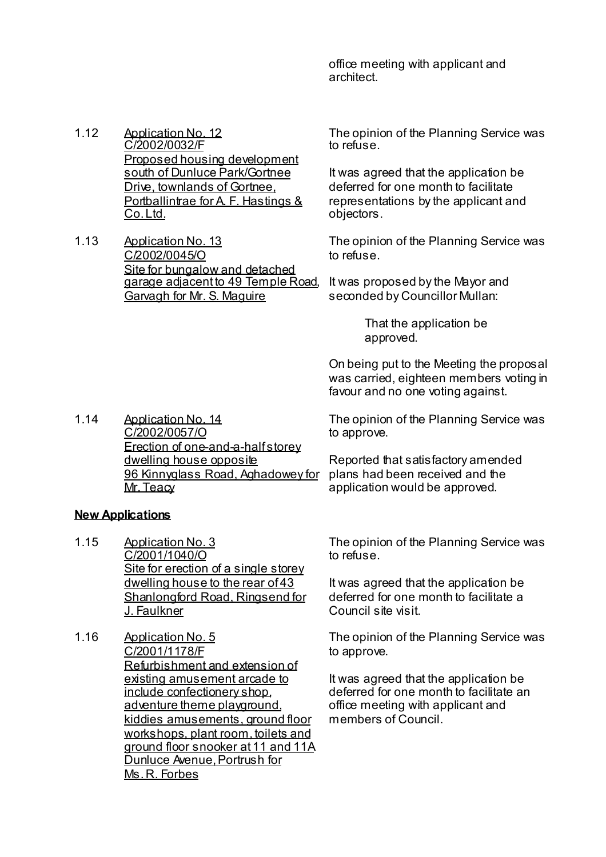office meeting with applicant and architect.

- 1.12 Application No. 12 C/2002/0032/F Proposed housing development south of Dunluce Park/Gortnee Drive, townlands of Gortnee, Portballintrae for A. F. Hastings & Co. Ltd.
- 1.13 Application No. 13 C/2002/0045/O Site for bungalow and detached garage adjacent to 49 Temple Road, Garvagh for Mr. S. Maguire

The opinion of the Planning Service was to refuse.

It was agreed that the application be deferred for one month to facilitate representations by the applicant and objectors.

The opinion of the Planning Service was to refuse.

It was proposed by the Mayor and seconded by Councillor Mullan:

> That the application be approved.

On being put to the Meeting the proposal was carried, eighteen members voting in favour and no one voting against.

1.14 Application No. 14 C/2002/0057/O Erection of one-and-a-half storey dwelling house opposite 96 Kinnyglass Road, Aghadowey for Mr. Teacy

The opinion of the Planning Service was to approve.

Reported that satisfactory amended plans had been received and the application would be approved.

# **New Applications**

- 1.15 Application No. 3 C/2001/1040/O Site for erection of a single storey dwelling house to the rear of 43 Shanlongford Road, Ringsend for J. Faulkner
- 1.16 Application No. 5 C/2001/1178/F Refurbishment and extension of existing amusement arcade to include confectionery shop, adventure theme playground, kiddies amusements, ground floor workshops, plant room, toilets and ground floor snooker at 11 and 11A Dunluce Avenue, Portrush for Ms. R. Forbes

The opinion of the Planning Service was to refuse.

It was agreed that the application be deferred for one month to facilitate a Council site visit.

The opinion of the Planning Service was to approve.

It was agreed that the application be deferred for one month to facilitate an office meeting with applicant and members of Council.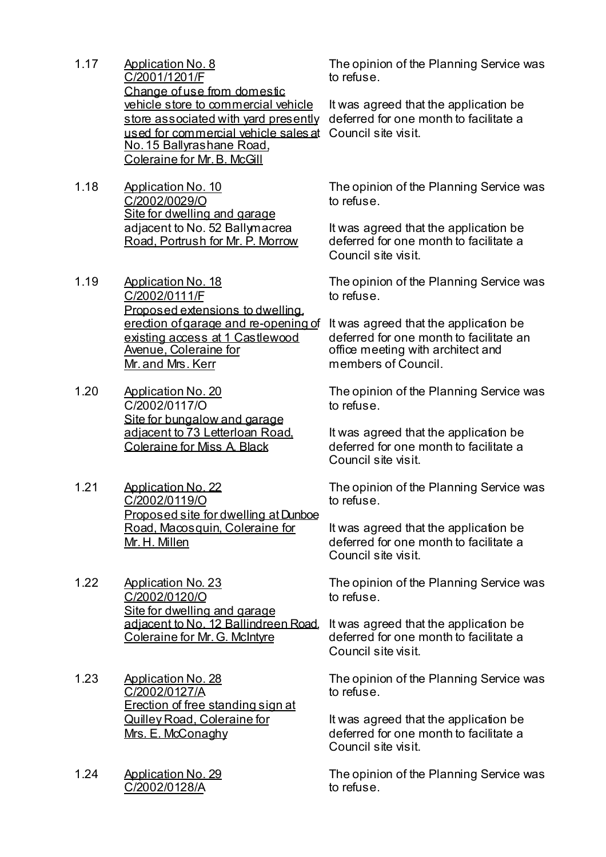- 1.17 Application No. 8 C/2001/1201/F Change of use from domestic vehicle store to commercial vehicle used for commercial vehicle sales at Council site visit. No. 15 Ballyrashane Road, Coleraine for Mr. B. McGill
- 1.18 Application No. 10 C/2002/0029/O Site for dwelling and garage adjacent to No. 52 Ballymacrea Road, Portrush for Mr. P. Morrow
- 1.19 Application No. 18 C/2002/0111/F Proposed extensions to dwelling, erection of garage and re-opening of existing access at 1 Castlewood Avenue, Coleraine for Mr. and Mrs. Kerr
- 1.20 Application No. 20 C/2002/0117/O Site for bungalow and garage adjacent to 73 Letterloan Road, Coleraine for Miss A. Black
- 1.21 Application No. 22 C/2002/0119/O Proposed site for dwelling at Dunboe Road, Macosquin, Coleraine for Mr. H. Millen
- 1.22 Application No. 23 C/2002/0120/O Site for dwelling and garage adjacent to No. 12 Ballindreen Road, Coleraine for Mr. G. McIntyre
- 1.23 Application No. 28 C/2002/0127/A Erection of free standing sign at Quilley Road, Coleraine for Mrs. E. McConaghy
- 1.24 Application No. 29 C/2002/0128/A

The opinion of the Planning Service was to refuse.

store associated with yard presently deferred for one month to facilitate a It was agreed that the application be

> The opinion of the Planning Service was to refuse.

It was agreed that the application be deferred for one month to facilitate a Council site visit.

The opinion of the Planning Service was to refuse.

It was agreed that the application be deferred for one month to facilitate an office meeting with architect and members of Council.

The opinion of the Planning Service was to refuse.

It was agreed that the application be deferred for one month to facilitate a Council site visit.

The opinion of the Planning Service was to refuse.

It was agreed that the application be deferred for one month to facilitate a Council site visit.

The opinion of the Planning Service was to refuse.

It was agreed that the application be deferred for one month to facilitate a Council site visit.

The opinion of the Planning Service was to refuse.

It was agreed that the application be deferred for one month to facilitate a Council site visit.

The opinion of the Planning Service was to refuse.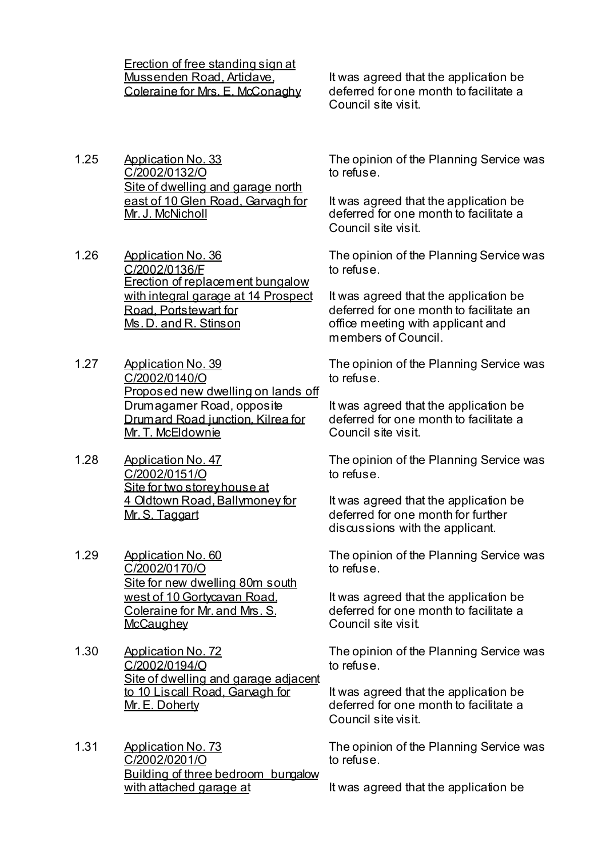Erection of free standing sign at Mussenden Road, Articlave, Coleraine for Mrs. E. McConaghy

It was agreed that the application be deferred for one month to facilitate a Council site visit.

- 1.25 Application No. 33 C/2002/0132/O Site of dwelling and garage north east of 10 Glen Road, Garvagh for Mr. J. McNicholl
- 1.26 Application No. 36 C/2002/0136/F Erection of replacement bungalow with integral garage at 14 Prospect Road, Portstewart for Ms. D. and R. Stinson
- 1.27 Application No. 39 C/2002/0140/O Proposed new dwelling on lands off Drumagarner Road, opposite Drumard Road junction, Kilrea for Mr. T. McEldownie
- 1.28 Application No. 47 C/2002/0151/O Site for two storey house at 4 Oldtown Road, Ballymoney for Mr. S. Taggart
- 1.29 Application No. 60 C/2002/0170/O Site for new dwelling 80m south west of 10 Gortycavan Road, Coleraine for Mr. and Mrs. S. **McCaughey**
- 1.30 Application No. 72 C/2002/0194/O Site of dwelling and garage adjacent to 10 Liscall Road, Garvagh for Mr. E. Doherty
- 1.31 Application No. 73 C/2002/0201/O Building of three bedroom bungalow with attached garage at

The opinion of the Planning Service was to refuse.

It was agreed that the application be deferred for one month to facilitate a Council site visit.

The opinion of the Planning Service was to refuse.

It was agreed that the application be deferred for one month to facilitate an office meeting with applicant and members of Council.

The opinion of the Planning Service was to refuse.

It was agreed that the application be deferred for one month to facilitate a Council site visit.

The opinion of the Planning Service was to refuse.

It was agreed that the application be deferred for one month for further discussions with the applicant.

The opinion of the Planning Service was to refuse.

It was agreed that the application be deferred for one month to facilitate a Council site visit.

The opinion of the Planning Service was to refuse.

It was agreed that the application be deferred for one month to facilitate a Council site visit.

The opinion of the Planning Service was to refuse.

It was agreed that the application be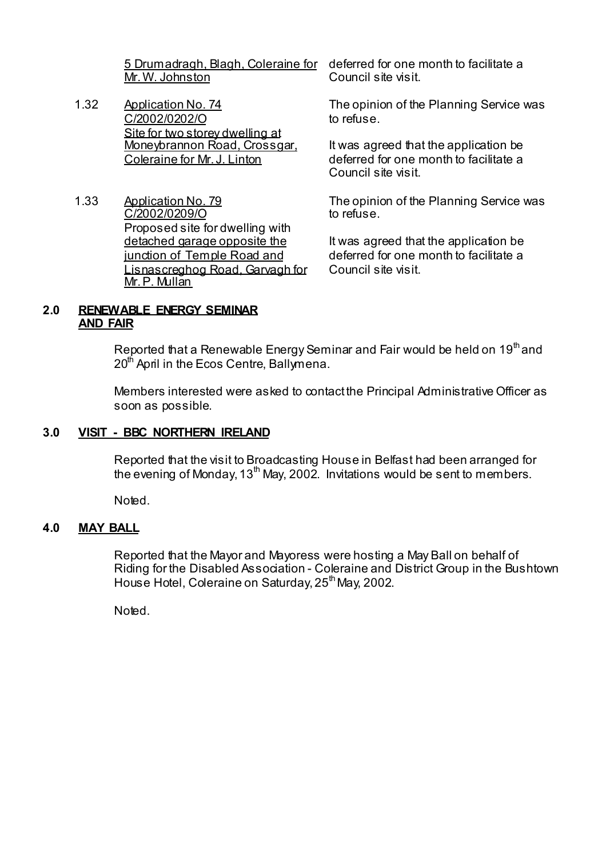Mr. W. Johnston

- 1.32 Application No. 74 C/2002/0202/O Site for two storey dwelling at Moneybrannon Road, Crossgar, Coleraine for Mr. J. Linton
- 1.33 Application No. 79 C/2002/0209/O Proposed site for dwelling with detached garage opposite the junction of Temple Road and Lisnascreghog Road, Garvagh for Mr. P. Mullan

5 Drumadragh, Blagh, Coleraine for deferred for one month to facilitate a Council site visit.

> The opinion of the Planning Service was to refuse.

It was agreed that the application be deferred for one month to facilitate a Council site visit.

The opinion of the Planning Service was to refuse.

It was agreed that the application be deferred for one month to facilitate a Council site visit.

#### **2.0 RENEWABLE ENERGY SEMINAR AND FAIR**

Reported that a Renewable Energy Seminar and Fair would be held on 19<sup>th</sup> and 20<sup>th</sup> April in the Ecos Centre, Ballymena.

 Members interested were asked to contact the Principal Administrative Officer as soon as possible.

# **3.0 VISIT - BBC NORTHERN IRELAND**

 Reported that the visit to Broadcasting House in Belfast had been arranged for the evening of Monday,  $13<sup>th</sup>$  May, 2002. Invitations would be sent to members.

Noted.

# **4.0 MAY BALL**

 Reported that the Mayor and Mayoress were hosting a May Ball on behalf of Riding for the Disabled Association - Coleraine and District Group in the Bushtown House Hotel, Coleraine on Saturday, 25<sup>th</sup> May, 2002.

Noted.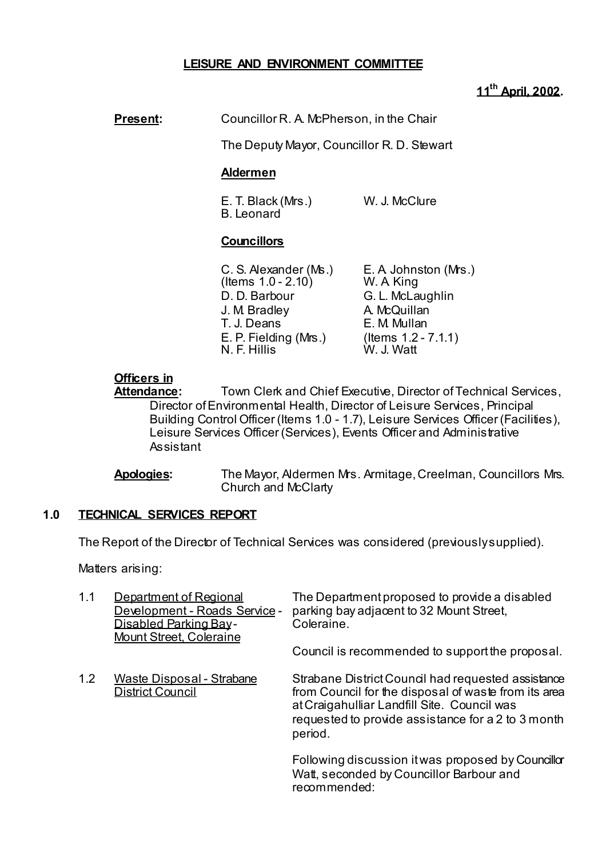# **LEISURE AND ENVIRONMENT COMMITTEE**

# **11th April, 2002.**

# **Present:** Councillor R. A. McPherson, in the Chair

The Deputy Mayor, Councillor R. D. Stewart

# **Aldermen**

 E. T. Black (Mrs.) W. J. McClure B. Leonard

## **Councillors**

| C. S. Alexander (Ms.) | E. A Johnston (Mrs.)   |
|-----------------------|------------------------|
| (Items $1.0 - 2.10$ ) | W. A King              |
| D. D. Barbour         | G. L. McLaughlin       |
| J. M. Bradley         | A. McQuillan           |
| T. J. Deans           | E. M. Mullan           |
| E. P. Fielding (Mrs.) | (Items $1.2 - 7.1.1$ ) |
| N. F. Hillis          | W. J. Watt             |

# **Officers in**

**Attendance:** Town Clerk and Chief Executive, Director of Technical Services, Director of Environmental Health, Director of Leisure Services, Principal Building Control Officer (Items 1.0 - 1.7), Leisure Services Officer (Facilities), Leisure Services Officer (Services), Events Officer and Administrative Assistant

 **Apologies:** The Mayor, Aldermen Mrs. Armitage, Creelman, Councillors Mrs. Church and McClarty

# **1.0 TECHNICAL SERVICES REPORT**

The Report of the Director of Technical Services was considered (previously supplied).

Matters arising:

| 1.1 | Department of Regional<br>Development - Roads Service -<br>Disabled Parking Bay-<br>Mount Street, Coleraine | The Department proposed to provide a disabled<br>parking bay adjacent to 32 Mount Street,<br>Coleraine.                                                                                                                    |
|-----|-------------------------------------------------------------------------------------------------------------|----------------------------------------------------------------------------------------------------------------------------------------------------------------------------------------------------------------------------|
|     |                                                                                                             | Council is recommended to support the proposal.                                                                                                                                                                            |
| 1.2 | Waste Disposal - Strabane<br><b>District Council</b>                                                        | Strabane District Council had requested assistance<br>from Council for the disposal of waste from its area<br>at Craigahulliar Landfill Site. Council was<br>requested to provide assistance for a 2 to 3 month<br>period. |
|     |                                                                                                             | Following discussion it was proposed by Councillor<br>Watt, seconded by Councillor Barbour and<br>recommended:                                                                                                             |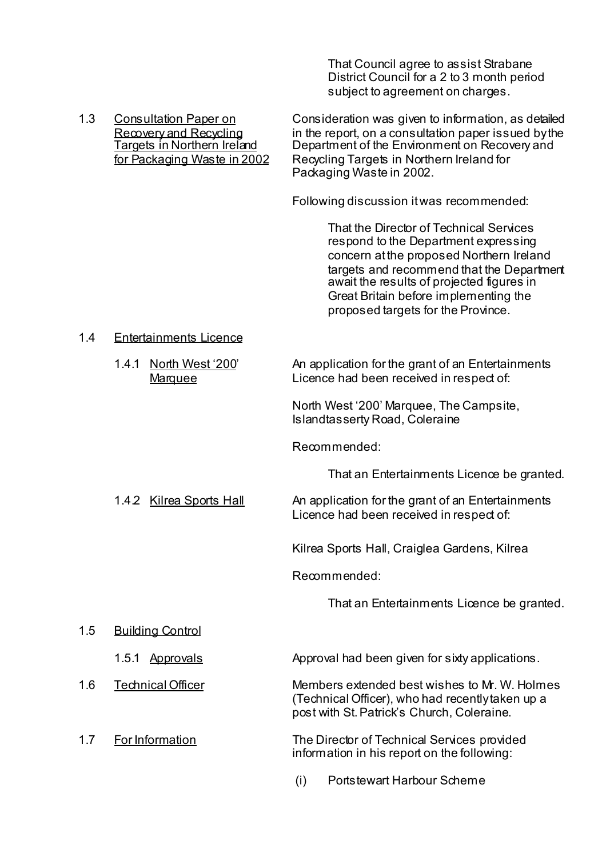That Council agree to assist Strabane District Council for a 2 to 3 month period subject to agreement on charges.

 1.3 Consultation Paper on Consideration was given to information, as detailed Recovery and Recycling in the report, on a consultation paper issued by the<br>Targets in Northern Ireland Department of the Environment on Recovery and Department of the Environment on Recovery and for Packaging Waste in 2002 Recycling Targets in Northern Ireland for Packaging Waste in 2002.

Following discussion it was recommended:

That the Director of Technical Services respond to the Department expressing concern at the proposed Northern Ireland targets and recommend that the Department await the results of projected figures in Great Britain before implementing the proposed targets for the Province.

#### 1.4 Entertainments Licence

 1.4.1 North West '200' An application for the grant of an Entertainments Marquee **Licence had been received in respect of:** 

> North West '200' Marquee, The Campsite, Islandtasserty Road, Coleraine

Recommended:

That an Entertainments Licence be granted.

1.4.2 Kilrea Sports Hall An application for the grant of an Entertainments

Licence had been received in respect of:

Kilrea Sports Hall, Craiglea Gardens, Kilrea

Recommended:

That an Entertainments Licence be granted.

1.5 Building Control

1.5.1 Approvals Approval had been given for sixty applications.

1.6 Technical Officer Members extended best wishes to Mr. W. Holmes (Technical Officer), who had recently taken up a post with St. Patrick's Church, Coleraine.

 1.7 For Information The Director of Technical Services provided information in his report on the following:

(i) Portstewart Harbour Scheme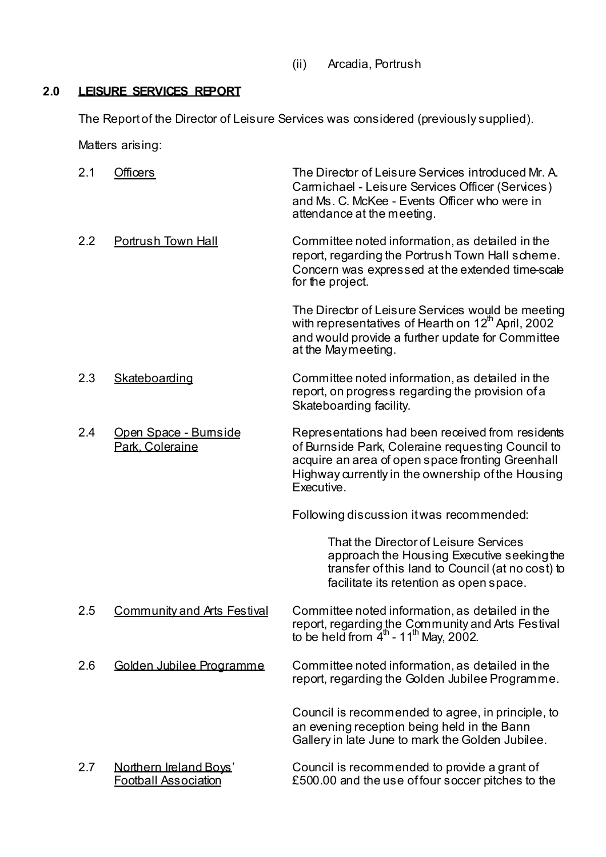(ii) Arcadia, Portrush

# **2.0 LEISURE SERVICES REPORT**

The Report of the Director of Leisure Services was considered (previously supplied).

Matters arising:

| 2.1 | <b>Officers</b>                                       | The Director of Leisure Services introduced Mr. A.<br>Camichael - Leisure Services Officer (Services)<br>and Ms. C. McKee - Events Officer who were in<br>attendance at the meeting.                                         |
|-----|-------------------------------------------------------|------------------------------------------------------------------------------------------------------------------------------------------------------------------------------------------------------------------------------|
| 2.2 | Portrush Town Hall                                    | Committee noted information, as detailed in the<br>report, regarding the Portrush Town Hall scheme.<br>Concern was expressed at the extended time-scale<br>for the project.                                                  |
|     |                                                       | The Director of Leisure Services would be meeting<br>with representatives of Hearth on 12 <sup>th</sup> April, 2002<br>and would provide a further update for Committee<br>at the Maymeeting.                                |
| 2.3 | Skateboarding                                         | Committee noted information, as detailed in the<br>report, on progress regarding the provision of a<br>Skateboarding facility.                                                                                               |
| 2.4 | Open Space - Bumside<br>Park. Coleraine               | Representations had been received from residents<br>of Burnside Park, Coleraine requesting Council to<br>acquire an area of open space fronting Greenhall<br>Highway currently in the ownership of the Housing<br>Executive. |
|     |                                                       | Following discussion it was recommended:                                                                                                                                                                                     |
|     |                                                       | That the Director of Leisure Services<br>approach the Housing Executive seeking the<br>transfer of this land to Council (at no cost) to<br>facilitate its retention as open space.                                           |
| 2.5 | <b>Community and Arts Festival</b>                    | Committee noted information, as detailed in the<br>report, regarding the Community and Arts Festival<br>to be held from $4^{\text{th}}$ - 11 <sup>th</sup> May, 2002.                                                        |
| 2.6 | Golden Jubilee Programme                              | Committee noted information, as detailed in the<br>report, regarding the Golden Jubilee Programme.                                                                                                                           |
|     |                                                       | Council is recommended to agree, in principle, to<br>an evening reception being held in the Bann<br>Gallery in late June to mark the Golden Jubilee.                                                                         |
| 2.7 | Northern Ireland Boys'<br><b>Football Association</b> | Council is recommended to provide a grant of<br>£500.00 and the use of four soccer pitches to the                                                                                                                            |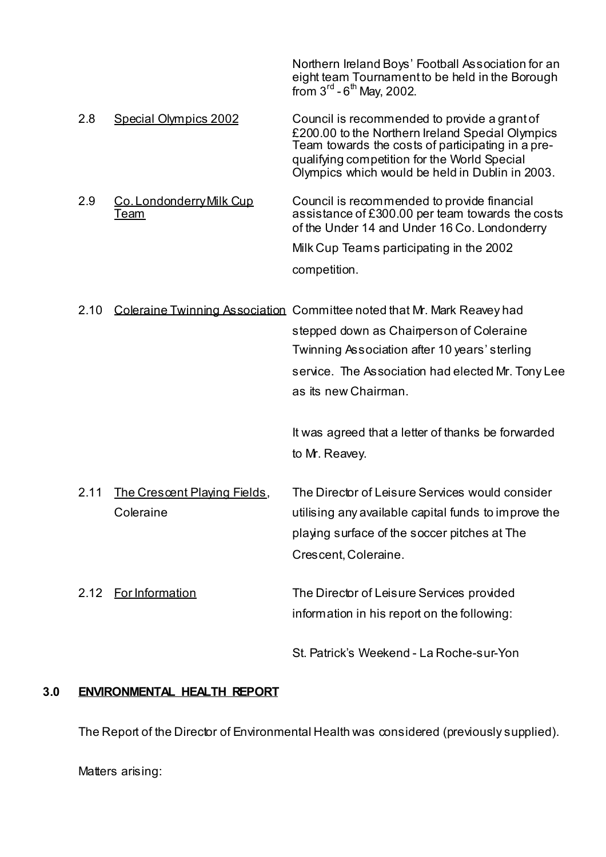|      |                                         | Northern Ireland Boys' Football Association for an<br>eight team Tournament to be held in the Borough<br>from $3^{\text{rd}}$ - $6^{\text{th}}$ May, 2002.                                                                                               |
|------|-----------------------------------------|----------------------------------------------------------------------------------------------------------------------------------------------------------------------------------------------------------------------------------------------------------|
| 2.8  | Special Olympics 2002                   | Council is recommended to provide a grant of<br>£200.00 to the Northern Ireland Special Olympics<br>Team towards the costs of participating in a pre-<br>qualifying competition for the World Special<br>Olympics which would be held in Dublin in 2003. |
| 2.9  | Co. Londonderry Milk Cup<br><u>Team</u> | Council is recommended to provide financial<br>assistance of £300.00 per team towards the costs<br>of the Under 14 and Under 16 Co. Londonderry                                                                                                          |
|      |                                         | Milk Cup Teams participating in the 2002                                                                                                                                                                                                                 |
|      |                                         | competition.                                                                                                                                                                                                                                             |
| 2.10 |                                         | Coleraine Twinning Association Committee noted that Mr. Mark Reavey had                                                                                                                                                                                  |
|      |                                         | stepped down as Chairperson of Coleraine                                                                                                                                                                                                                 |
|      |                                         | Twinning Association after 10 years' sterling                                                                                                                                                                                                            |
|      |                                         | service. The Association had elected Mr. Tony Lee                                                                                                                                                                                                        |
|      |                                         | as its new Chairman.                                                                                                                                                                                                                                     |
|      |                                         | It was agreed that a letter of thanks be forwarded                                                                                                                                                                                                       |
|      |                                         | to Mr. Reavey.                                                                                                                                                                                                                                           |
| 2.11 | The Crescent Playing Fields,            | The Director of Leisure Services would consider                                                                                                                                                                                                          |
|      | Coleraine                               | utilising any available capital funds to improve the                                                                                                                                                                                                     |
|      |                                         | playing surface of the soccer pitches at The                                                                                                                                                                                                             |
|      |                                         | Crescent, Coleraine.                                                                                                                                                                                                                                     |
|      | 2.12 For Information                    | The Director of Leisure Services provided                                                                                                                                                                                                                |
|      |                                         | information in his report on the following:                                                                                                                                                                                                              |
|      |                                         | St. Patrick's Weekend - La Roche-sur-Yon                                                                                                                                                                                                                 |

# **3.0 ENVIRONMENTAL HEALTH REPORT**

The Report of the Director of Environmental Health was considered (previously supplied).

Matters arising: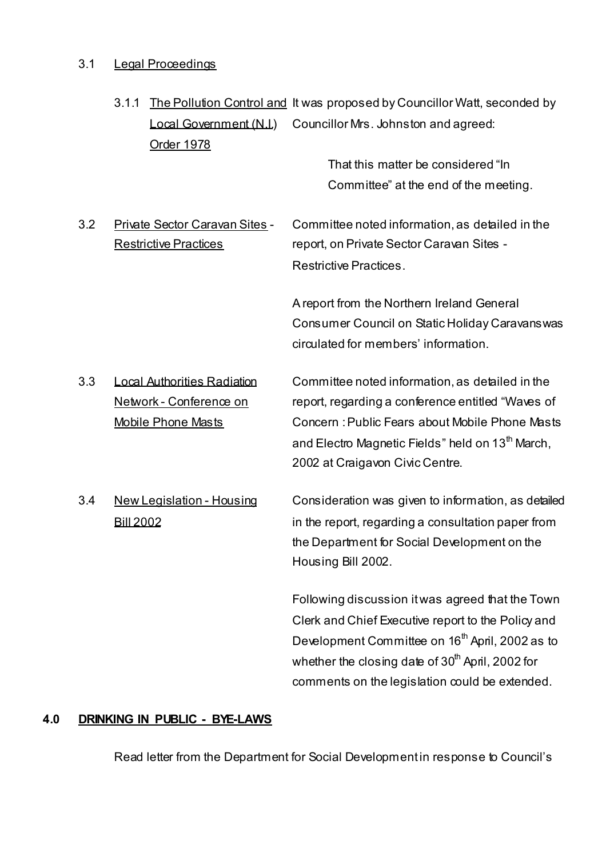# 3.1 Legal Proceedings

|     | 3.1.1<br>Local Government (N.I.)<br>Order 1978 | The Pollution Control and It was proposed by Councillor Watt, seconded by<br>Councillor Mrs. Johnston and agreed: |
|-----|------------------------------------------------|-------------------------------------------------------------------------------------------------------------------|
|     |                                                | That this matter be considered "In                                                                                |
|     |                                                | Committee" at the end of the meeting.                                                                             |
| 3.2 | Private Sector Caravan Sites -                 | Committee noted information, as detailed in the                                                                   |
|     | <b>Restrictive Practices</b>                   | report, on Private Sector Caravan Sites -                                                                         |
|     |                                                | <b>Restrictive Practices.</b>                                                                                     |
|     |                                                | A report from the Northern Ireland General                                                                        |
|     |                                                | Consumer Council on Static Holiday Caravanswas                                                                    |
|     |                                                | circulated for members' information.                                                                              |
| 3.3 | <b>Local Authorities Radiation</b>             | Committee noted information, as detailed in the                                                                   |
|     | Network - Conference on                        | report, regarding a conference entitled "Waves of<br>Concern : Public Fears about Mobile Phone Masts              |
|     | <b>Mobile Phone Masts</b>                      | and Electro Magnetic Fields" held on 13 <sup>th</sup> March,                                                      |
|     |                                                | 2002 at Craigavon Civic Centre.                                                                                   |
| 3.4 |                                                |                                                                                                                   |
|     | <b>New Legislation - Housing</b>               | Consideration was given to information, as detailed                                                               |
|     | <b>Bill 2002</b>                               | in the report, regarding a consultation paper from                                                                |
|     |                                                | the Department for Social Development on the<br>Housing Bill 2002.                                                |
|     |                                                |                                                                                                                   |
|     |                                                | Following discussion it was agreed that the Town                                                                  |
|     |                                                | Clerk and Chief Executive report to the Policy and                                                                |
|     |                                                | Development Committee on 16 <sup>th</sup> April, 2002 as to                                                       |
|     |                                                | whether the closing date of 30 <sup>th</sup> April, 2002 for                                                      |
|     |                                                | comments on the legislation could be extended.                                                                    |

# **4.0 DRINKING IN PUBLIC - BYE-LAWS**

Read letter from the Department for Social Development in response to Council's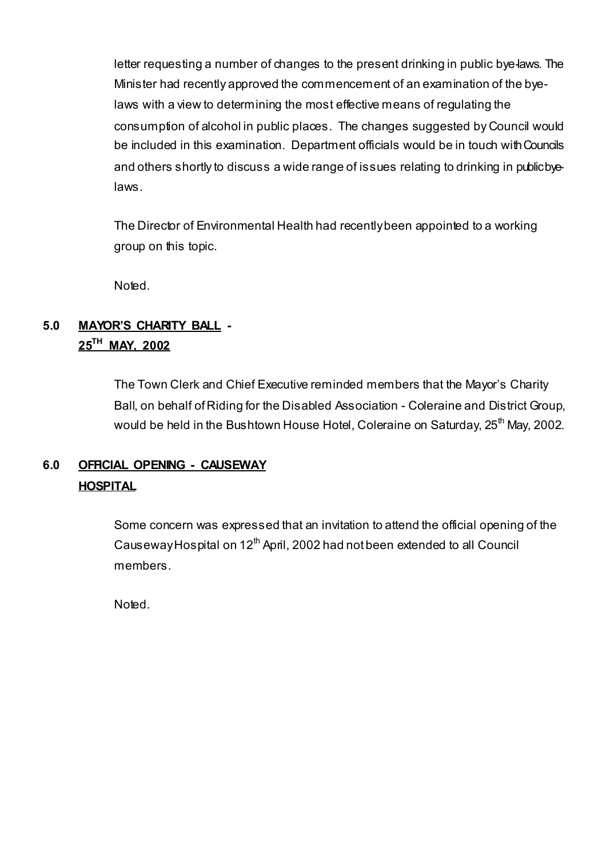letter requesting a number of changes to the present drinking in public bye-laws. The Minister had recently approved the commencement of an examination of the byelaws with a view to determining the most effective means of regulating the consumption of alcohol in public places. The changes suggested by Council would be included in this examination. Department officials would be in touch with Councils and others shortly to discuss a wide range of issues relating to drinking in public byelaws.

The Director of Environmental Health had recently been appointed to a working group on this topic.

Noted.

# **5.0 MAYOR'S CHARITY BALL - 25TH MAY, 2002**

 The Town Clerk and Chief Executive reminded members that the Mayor's Charity Ball, on behalf of Riding for the Disabled Association - Coleraine and District Group, would be held in the Bushtown House Hotel, Coleraine on Saturday, 25<sup>th</sup> May, 2002.

# **6.0 OFFICIAL OPENING - CAUSEWAY HOSPITAL**

 Some concern was expressed that an invitation to attend the official opening of the Causeway Hospital on  $12<sup>th</sup>$  April, 2002 had not been extended to all Council members.

Noted.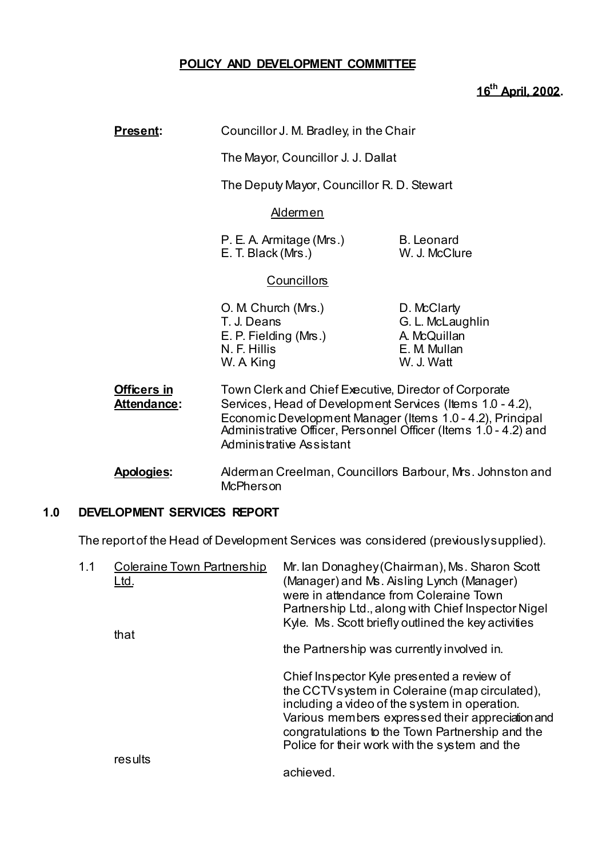# **POLICY AND DEVELOPMENT COMMITTEE**

# **16th April, 2002.**

| Present:                          | Councillor J. M. Bradley, in the Chair                                                                                                                                                                                                                                         |                                                                               |
|-----------------------------------|--------------------------------------------------------------------------------------------------------------------------------------------------------------------------------------------------------------------------------------------------------------------------------|-------------------------------------------------------------------------------|
|                                   | The Mayor, Councillor J. J. Dallat                                                                                                                                                                                                                                             |                                                                               |
|                                   | The Deputy Mayor, Councillor R. D. Stewart                                                                                                                                                                                                                                     |                                                                               |
|                                   | <u>Aldermen</u>                                                                                                                                                                                                                                                                |                                                                               |
|                                   | P. E. A. Armitage (Mrs.)<br>E. T. Black (Mrs.)                                                                                                                                                                                                                                 | <b>B.</b> Leonard<br>W. J. McClure                                            |
|                                   | <b>Councillors</b>                                                                                                                                                                                                                                                             |                                                                               |
|                                   | O. M. Church (Mrs.)<br>T. J. Deans<br>E. P. Fielding (Mrs.)<br>N. F. Hillis<br>W. A King                                                                                                                                                                                       | D. McClarty<br>G. L. McLaughlin<br>A. McQuillan<br>E. M. Mullan<br>W. J. Watt |
| <b>Officers in</b><br>Attendance: | Town Clerk and Chief Executive, Director of Corporate<br>Services, Head of Development Services (Items 1.0 - 4.2),<br>Economic Development Manager (Items 1.0 - 4.2), Principal<br>Administrative Officer, Personnel Officer (Items 1.0 - 4.2) and<br>Administrative Assistant |                                                                               |
|                                   |                                                                                                                                                                                                                                                                                |                                                                               |

 **Apologies:** Alderman Creelman, Councillors Barbour, Mrs. Johnston and **McPherson** 

# **1.0 DEVELOPMENT SERVICES REPORT**

The report of the Head of Development Services was considered (previously supplied).

| 1.1 | Coleraine Town Partnership<br><u>Ltd.</u> | Mr. Ian Donaghey (Chairman), Ms. Sharon Scott<br>(Manager) and Ms. Aisling Lynch (Manager)<br>were in attendance from Coleraine Town<br>Partnership Ltd., along with Chief Inspector Nigel<br>Kyle. Ms. Scott briefly outlined the key activities                                                     |  |
|-----|-------------------------------------------|-------------------------------------------------------------------------------------------------------------------------------------------------------------------------------------------------------------------------------------------------------------------------------------------------------|--|
|     | that                                      | the Partnership was currently involved in.                                                                                                                                                                                                                                                            |  |
|     |                                           | Chief Inspector Kyle presented a review of<br>the CCTV system in Coleraine (map circulated),<br>including a video of the system in operation.<br>Various members expressed their appreciation and<br>congratulations to the Town Partnership and the<br>Police for their work with the system and the |  |
|     | results                                   | achieved.                                                                                                                                                                                                                                                                                             |  |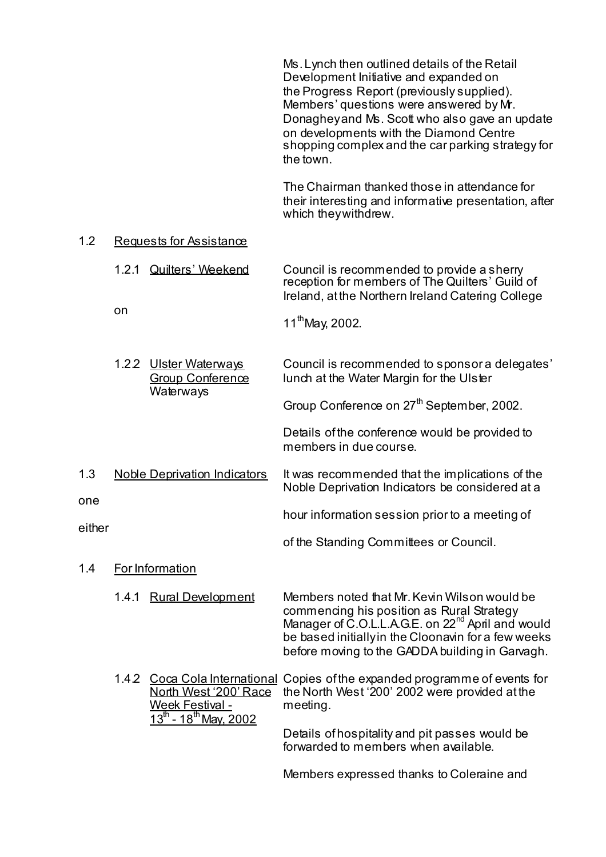Ms. Lynch then outlined details of the Retail Development Initiative and expanded on the Progress Report (previously supplied). Members' questions were answered by Mr. Donaghey and Ms. Scott who also gave an update on developments with the Diamond Centre shopping complex and the car parking strategy for the town. The Chairman thanked those in attendance for their interesting and informative presentation, after which they withdrew. 1.2 Requests for Assistance 1.2.1 Quilters' Weekend Council is recommended to provide a sherry reception for members of The Quilters' Guild of Ireland, at the Northern Ireland Catering College on  $11^{th}$ May, 2002. 1.2.2 Ulster Waterways Council is recommended to sponsor a delegates' Group Conference lunch at the Water Margin for the Ulster **Waterways** Group Conference on 27<sup>th</sup> September, 2002. Details of the conference would be provided to members in due course. 1.3 Noble Deprivation Indicators It was recommended that the implications of the Noble Deprivation Indicators be considered at a one hour information session prior to a meeting of either of the Standing Committees or Council. 1.4 For Information 1.4.1 Rural Development Members noted that Mr. Kevin Wilson would be commencing his position as Rural Strategy Manager of C.O.L.L.A.G.E. on 22<sup>nd</sup> April and would be based initially in the Cloonavin for a few weeks before moving to the GADDA building in Garvagh. 1.4.2 Coca Cola International Copies of the expanded programme of events for North West '200' Race the North West '200' 2002 were provided at the Week Festival - meeting.  $13^{th}$  - 18<sup>th</sup> May, 2002 Details of hospitality and pit passes would be forwarded to members when available.

Members expressed thanks to Coleraine and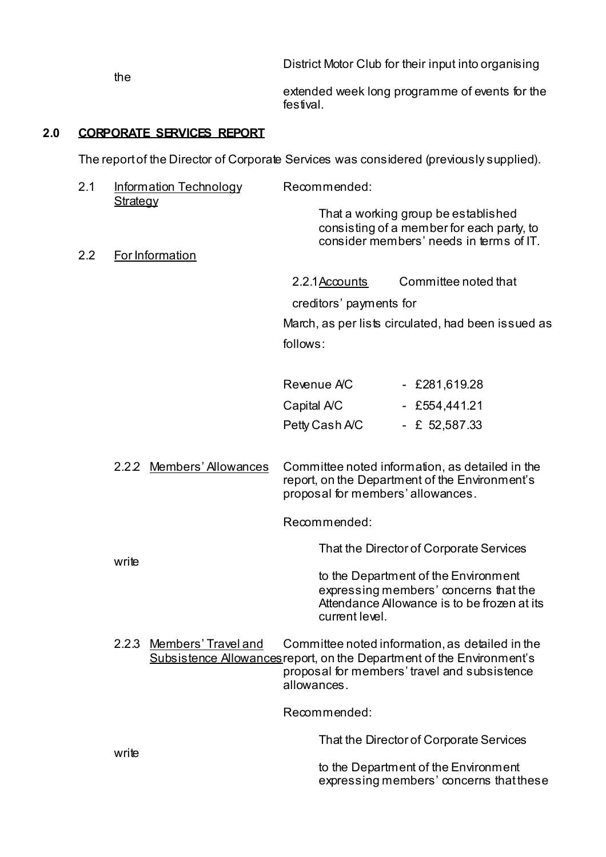District Motor Club for their input into organising extended week long programme of events for the festival.

# **2.0 CORPORATE SERVICES REPORT**

the

The report of the Director of Corporate Services was considered (previously supplied).

| 2.1 | <b>Information Technology</b>      | Recommended:                      |                                                                                                                             |
|-----|------------------------------------|-----------------------------------|-----------------------------------------------------------------------------------------------------------------------------|
| 2.2 | <b>Strategy</b><br>For Information |                                   | That a working group be established<br>consisting of a member for each party, to<br>consider members' needs in terms of IT. |
|     |                                    | 2.2.1 Accounts                    | Committee noted that                                                                                                        |
|     |                                    | creditors' payments for           |                                                                                                                             |
|     |                                    |                                   | March, as per lists circulated, had been issued as                                                                          |
|     |                                    | follows:                          |                                                                                                                             |
|     |                                    |                                   |                                                                                                                             |
|     |                                    | Revenue AC                        | $-$ £281,619.28                                                                                                             |
|     |                                    | Capital A/C                       | $-$ £554,441.21                                                                                                             |
|     |                                    | Petty Cash A/C                    | - £ $52,587.33$                                                                                                             |
|     |                                    |                                   |                                                                                                                             |
|     | 2.2.2 Members' Allowances          | proposal for members' allowances. | Committee noted information, as detailed in the<br>report, on the Department of the Environment's                           |
|     |                                    | Recommended:                      |                                                                                                                             |
|     | write                              |                                   | That the Director of Corporate Services                                                                                     |

 to the Department of the Environment expressing members' concerns that the Attendance Allowance is to be frozen at its current level.

2.2.3 Members' Travel and Committee noted information, as detailed in the Subsistence Allowancesreport, on the Department of the Environment's proposal for members' travel and subsistence allowances.

Recommended:

That the Director of Corporate Services

 to the Department of the Environment expressing members' concerns that these

write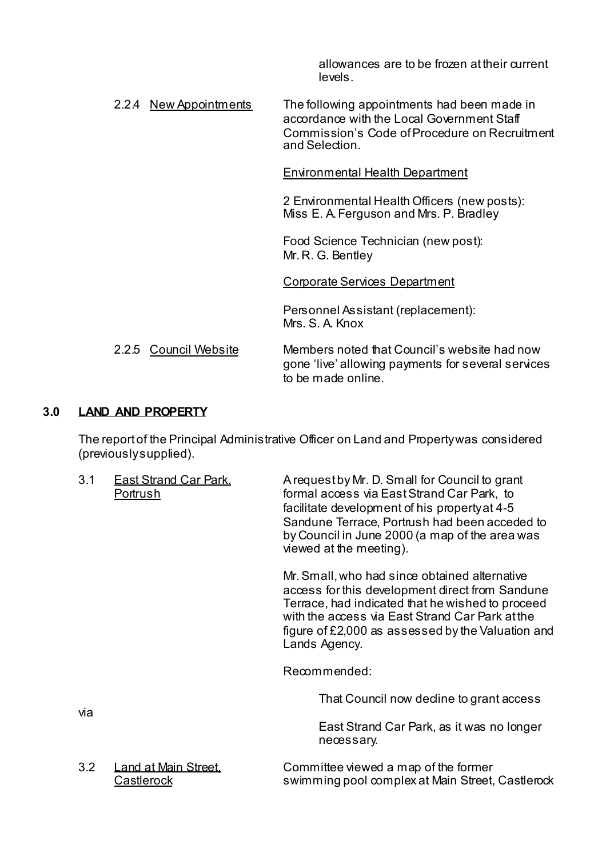allowances are to be frozen at their current levels.

2.2.4 New Appointments The following appointments had been made in accordance with the Local Government Staff Commission's Code of Procedure on Recruitment and Selection.

Environmental Health Department

 2 Environmental Health Officers (new posts): Miss E. A. Ferguson and Mrs. P. Bradley

 Food Science Technician (new post): Mr. R. G. Bentley

Corporate Services Department

 Personnel Assistant (replacement): Mrs. S. A. Knox

2.2.5 Council Website Members noted that Council's website had now gone 'live' allowing payments for several services to be made online.

# **3.0 LAND AND PROPERTY**

 The report of the Principal Administrative Officer on Land and Property was considered (previously supplied).

| 3.1 | <b>East Strand Car Park.</b><br>Portrush | A request by Mr. D. Small for Council to grant<br>formal access via East Strand Car Park, to<br>facilitate development of his property at 4-5<br>Sandune Terrace, Portrush had been acceded to<br>by Council in June 2000 (a map of the area was<br>viewed at the meeting).   |  |  |
|-----|------------------------------------------|-------------------------------------------------------------------------------------------------------------------------------------------------------------------------------------------------------------------------------------------------------------------------------|--|--|
|     |                                          | Mr. Small, who had since obtained alternative<br>access for this development direct from Sandune<br>Terrace, had indicated that he wished to proceed<br>with the access via East Strand Car Park at the<br>figure of £2,000 as assessed by the Valuation and<br>Lands Agency. |  |  |
|     |                                          | Recommended:                                                                                                                                                                                                                                                                  |  |  |
| via |                                          | That Council now dedine to grant access                                                                                                                                                                                                                                       |  |  |
|     |                                          | East Strand Car Park, as it was no longer<br>necessary.                                                                                                                                                                                                                       |  |  |
| 3.2 | Land at Main Street.<br>Castlerock       | Committee viewed a map of the former<br>swimming pool complex at Main Street, Castlerock                                                                                                                                                                                      |  |  |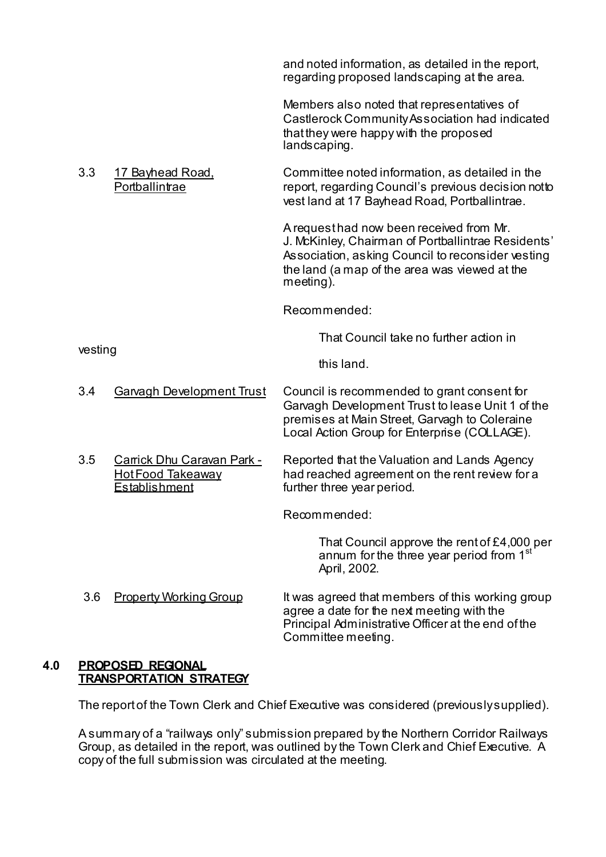and noted information, as detailed in the report, regarding proposed landscaping at the area.

 Members also noted that representatives of Castlerock Community Association had indicated that they were happy with the proposed landscaping.

3.3 17 Bayhead Road, Committee noted information, as detailed in the Portballintrae report, regarding Council's previous decision not to vest land at 17 Bayhead Road, Portballintrae.

> A request had now been received from Mr. J. McKinley, Chairman of Portballintrae Residents' Association, asking Council to reconsider vesting the land (a map of the area was viewed at the meeting).

Recommended:

That Council take no further action in

this land.

- 3.4 Garvagh Development Trust Council is recommended to grant consent for Garvagh Development Trust to lease Unit 1 of the premises at Main Street, Garvagh to Coleraine Local Action Group for Enterprise (COLLAGE).
- 3.5 Carrick Dhu Caravan Park Reported that the Valuation and Lands Agency Hot Food Takeaway had reached agreement on the rent review for a<br>Establishment further three vear period. further three year period.

Recommended:

 That Council approve the rent of £4,000 per annum for the three year period from 1<sup>st</sup> April, 2002.

3.6 Property Working Group It was agreed that members of this working group agree a date for the next meeting with the Principal Administrative Officer at the end of the Committee meeting.

# **4.0 PROPOSED REGIONAL TRANSPORTATION STRATEGY**

vesting

The report of the Town Clerk and Chief Executive was considered (previously supplied).

A summary of a "railways only" submission prepared by the Northern Corridor Railways Group, as detailed in the report, was outlined by the Town Clerk and Chief Executive. A copy of the full submission was circulated at the meeting.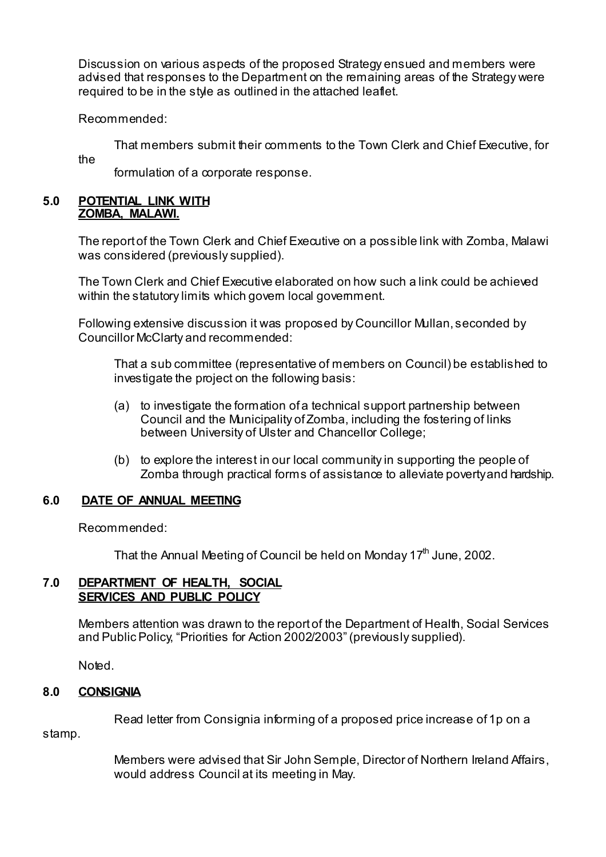Discussion on various aspects of the proposed Strategy ensued and members were advised that responses to the Department on the remaining areas of the Strategy were required to be in the style as outlined in the attached leaflet.

Recommended:

That members submit their comments to the Town Clerk and Chief Executive, for the

formulation of a corporate response.

#### **5.0 POTENTIAL LINK WITH ZOMBA, MALAWI.**

The report of the Town Clerk and Chief Executive on a possible link with Zomba, Malawi was considered (previously supplied).

The Town Clerk and Chief Executive elaborated on how such a link could be achieved within the statutory limits which govern local government.

Following extensive discussion it was proposed by Councillor Mullan, seconded by Councillor McClarty and recommended:

 That a sub committee (representative of members on Council) be established to investigate the project on the following basis:

- (a) to investigate the formation of a technical support partnership between Council and the Municipality of Zomba, including the fostering of links between University of Ulster and Chancellor College;
- (b) to explore the interest in our local community in supporting the people of Zomba through practical forms of assistance to alleviate poverty and hardship.

# **6.0 DATE OF ANNUAL MEETING**

Recommended:

That the Annual Meeting of Council be held on Monday  $17<sup>th</sup>$  June, 2002.

## **7.0 DEPARTMENT OF HEALTH, SOCIAL SERVICES AND PUBLIC POLICY**

 Members attention was drawn to the report of the Department of Health, Social Services and Public Policy, "Priorities for Action 2002/2003" (previously supplied).

Noted.

# **8.0 CONSIGNIA**

Read letter from Consignia informing of a proposed price increase of 1p on a

stamp.

 Members were advised that Sir John Semple, Director of Northern Ireland Affairs, would address Council at its meeting in May.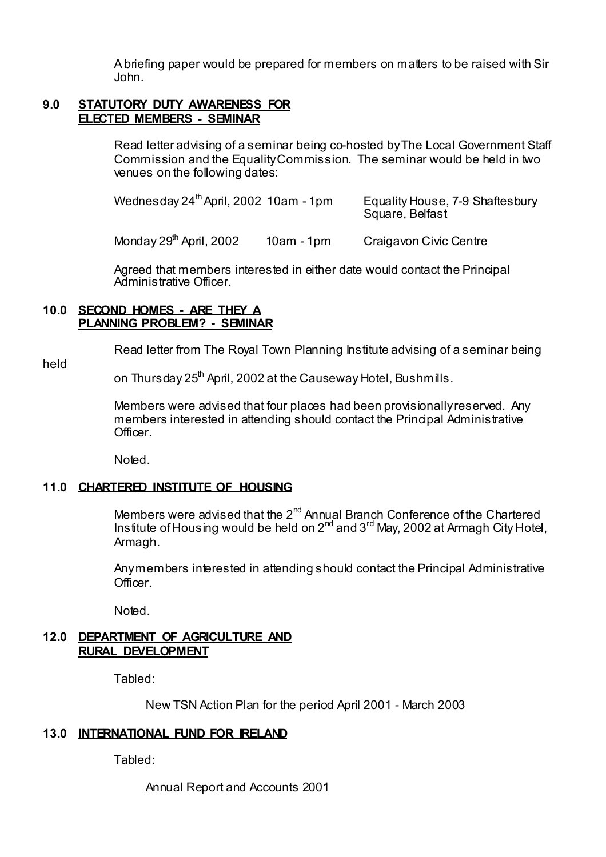A briefing paper would be prepared for members on matters to be raised with Sir John.

#### **9.0 STATUTORY DUTY AWARENESS FOR ELECTED MEMBERS - SEMINAR**

 Read letter advising of a seminar being co-hosted by The Local Government Staff Commission and the Equality Commission. The seminar would be held in two venues on the following dates:

Wednesday 24<sup>th</sup> April, 2002 10am - 1pm Equality House, 7-9 Shaftesbury Square, Belfast

Monday 29<sup>th</sup> April, 2002 10am - 1pm Craigavon Civic Centre

 Agreed that members interested in either date would contact the Principal Administrative Officer.

#### **10.0 SECOND HOMES - ARE THEY A PLANNING PROBLEM? - SEMINAR**

Read letter from The Royal Town Planning Institute advising of a seminar being

held

on Thursday 25<sup>th</sup> April, 2002 at the Causeway Hotel, Bushmills.

 Members were advised that four places had been provisionally reserved. Any members interested in attending should contact the Principal Administrative **Officer** 

Noted.

# **11.0 CHARTERED INSTITUTE OF HOUSING**

Members were advised that the 2<sup>nd</sup> Annual Branch Conference of the Chartered Institute of Housing would be held on  $2^{nd}$  and  $3^{rd}$  May, 2002 at Armagh City Hotel, Armagh.

 Any members interested in attending should contact the Principal Administrative Officer.

Noted.

# **12.0 DEPARTMENT OF AGRICULTURE AND RURAL DEVELOPMENT**

Tabled:

New TSN Action Plan for the period April 2001 - March 2003

# **13.0 INTERNATIONAL FUND FOR IRELAND**

Tabled:

Annual Report and Accounts 2001